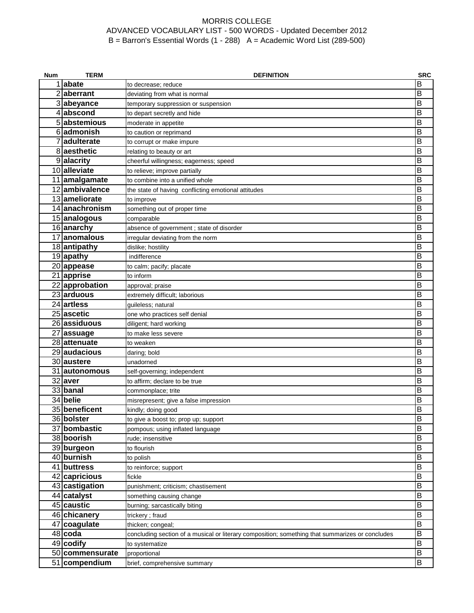| Num | <b>TERM</b>               | <b>DEFINITION</b>                                                                               | <b>SRC</b>              |
|-----|---------------------------|-------------------------------------------------------------------------------------------------|-------------------------|
|     | 1 abate                   | to decrease; reduce                                                                             | B                       |
|     | 2 aberrant                | deviating from what is normal                                                                   | B                       |
|     | 3 abeyance                | temporary suppression or suspension                                                             | B                       |
|     | 4 abscond                 | to depart secretly and hide                                                                     | В                       |
|     | 5 abstemious              | moderate in appetite                                                                            | B                       |
|     | 6 admonish                | to caution or reprimand                                                                         | В                       |
|     | 7adulterate               | to corrupt or make impure                                                                       | B                       |
|     | 8 aesthetic               | relating to beauty or art                                                                       | B                       |
|     | 9alacrity                 | cheerful willingness; eagerness; speed                                                          | B                       |
|     | 10 alleviate              | to relieve; improve partially                                                                   | B                       |
|     | 11 amalgamate             | to combine into a unified whole                                                                 | В                       |
|     | 12 ambivalence            | the state of having conflicting emotional attitudes                                             | В                       |
|     | 13 ameliorate             | to improve                                                                                      | В                       |
|     | 14 anachronism            | something out of proper time                                                                    | В                       |
|     | 15 analogous              | comparable                                                                                      | B                       |
|     | 16 anarchy                | absence of government ; state of disorder                                                       | B                       |
|     | 17 anomalous              | irregular deviating from the norm                                                               | B                       |
|     | 18 antipathy              | dislike; hostility                                                                              | B                       |
|     | 19 apathy                 | indifference                                                                                    | B                       |
|     | 20 appease                | to calm; pacify; placate                                                                        | В                       |
|     | 21 apprise                | to inform                                                                                       | B                       |
|     | 22 approbation            | approval; praise                                                                                | B                       |
|     | 23 arduous                | extremely difficult; laborious                                                                  | $\overline{\mathsf{B}}$ |
|     | 24 artless                | guileless; natural                                                                              | B                       |
|     | 25 ascetic                | one who practices self denial                                                                   | B                       |
|     | 26 assiduous              | diligent; hard working                                                                          | B                       |
|     | 27 assuage                | to make less severe                                                                             | B                       |
|     | 28 attenuate              | to weaken                                                                                       | В                       |
|     | 29 audacious              | daring; bold                                                                                    | В                       |
|     | 30 austere                | unadorned                                                                                       | В                       |
|     | 31 autonomous             | self-governing; independent                                                                     | В                       |
|     | 32 aver                   | to affirm; declare to be true                                                                   | B                       |
|     | 33 banal                  | commonplace; trite                                                                              | B                       |
|     | 34 belie                  | misrepresent; give a false impression                                                           | B                       |
|     | 35 beneficent             | kindly; doing good                                                                              | B                       |
|     | 36 bolster                | to give a boost to; prop up; support                                                            | в                       |
| 37  | bombastic                 | pompous; using inflated language                                                                | B                       |
|     | 38 boorish                | rude; insensitive                                                                               | B                       |
|     | 39 burgeon                | to flourish                                                                                     | B                       |
|     | 40 burnish                | to polish                                                                                       | B                       |
|     | 41 buttress               | to reinforce; support                                                                           | B                       |
|     | 42 capricious             | fickle                                                                                          | B                       |
|     | 43 castigation            | punishment; criticism; chastisement                                                             | B                       |
|     | 44 catalyst               | something causing change                                                                        | B                       |
|     | 45 caustic                | burning; sarcastically biting                                                                   | B                       |
|     | 46 chicanery              | trickery; fraud                                                                                 | B<br>B                  |
|     | 47 coagulate<br>$48$ coda | thicken; congeal;                                                                               | B                       |
|     | $49$ codify               | concluding section of a musical or literary composition; something that summarizes or concludes | B                       |
|     | 50 commensurate           | to systematize                                                                                  | B                       |
|     | 51 compendium             | proportional                                                                                    | B                       |
|     |                           | brief, comprehensive summary                                                                    |                         |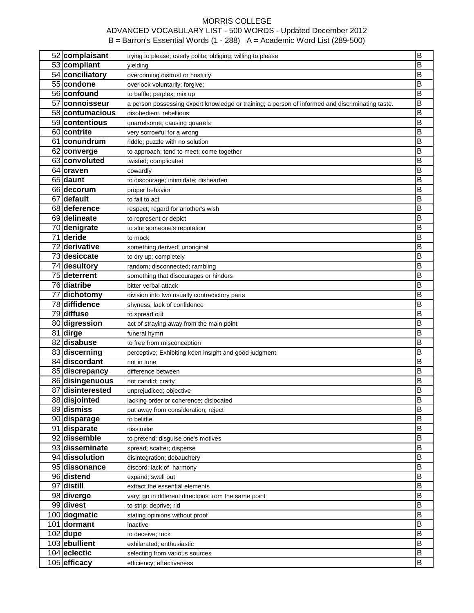| 52 complaisant<br>53 compliant | trying to please; overly polite; obliging; willing to please                                     | $\overline{\mathsf{B}}$ |
|--------------------------------|--------------------------------------------------------------------------------------------------|-------------------------|
|                                | yielding                                                                                         | B                       |
| 54 conciliatory                | overcoming distrust or hostility                                                                 | В                       |
| 55 condone                     | overlook voluntarily; forgive;                                                                   | В                       |
| 56 confound                    | to baffle; perplex; mix up                                                                       | B                       |
| 57 connoisseur                 | a person possessing expert knowledge or training; a person of informed and discriminating taste. | В                       |
| 58 contumacious                | disobedient; rebellious                                                                          | В                       |
| 59 contentious                 | quarrelsome; causing quarrels                                                                    | В                       |
| 60 contrite                    | very sorrowful for a wrong                                                                       | В                       |
| 61 conundrum                   | riddle; puzzle with no solution                                                                  | B                       |
| 62 converge                    | to approach; tend to meet; come together                                                         | В                       |
| 63 convoluted                  | twisted; complicated                                                                             | В                       |
| 64 craven                      | cowardly                                                                                         | B                       |
| 65 daunt                       | to discourage; intimidate; dishearten                                                            | B                       |
| 66 decorum                     | proper behavior                                                                                  | В                       |
| 67 default                     | to fail to act                                                                                   | В                       |
| 68 deference                   | respect; regard for another's wish                                                               | B                       |
| 69 delineate                   | to represent or depict                                                                           | B                       |
| 70 denigrate                   | to slur someone's reputation                                                                     | В                       |
| 71 deride                      | to mock                                                                                          | В                       |
| 72 derivative                  | something derived; unoriginal                                                                    | в                       |
| 73 desiccate                   | to dry up; completely                                                                            | B                       |
| 74 desultory                   | random; disconnected; rambling                                                                   | В                       |
| 75 deterrent                   | something that discourages or hinders                                                            | В                       |
| 76 diatribe                    | bitter verbal attack                                                                             | В                       |
| 77 dichotomy                   | division into two usually contradictory parts                                                    | B                       |
| 78 diffidence                  | shyness; lack of confidence                                                                      | B                       |
|                                |                                                                                                  |                         |
|                                |                                                                                                  |                         |
| 79 diffuse                     | to spread out                                                                                    | В                       |
| 80 digression                  | act of straying away from the main point                                                         | В                       |
| 81 dirge                       | funeral hymn                                                                                     | B                       |
| 82 disabuse                    | to free from misconception                                                                       | B                       |
| 83 discerning                  | perceptive; Exhibiting keen insight and good judgment                                            | В                       |
| 84 discordant                  | not in tune                                                                                      | В                       |
| 85 discrepancy                 | difference between                                                                               | B                       |
| 86 disingenuous                | not candid; crafty                                                                               | B                       |
| 87 disinterested               | unprejudiced; objective                                                                          | В                       |
| 88 disjointed                  | lacking order or coherence; dislocated                                                           | В                       |
| 89 dismiss                     | put away from consideration; reject                                                              | B                       |
| 90 disparage                   | to belittle                                                                                      | B                       |
| 91 disparate                   | dissimilar                                                                                       | B                       |
| 92 dissemble                   | to pretend; disguise one's motives                                                               | B                       |
| 93 disseminate                 | spread; scatter; disperse                                                                        | B                       |
| 94 dissolution                 | disintegration; debauchery                                                                       | B                       |
| 95 dissonance                  | discord; lack of harmony                                                                         | B                       |
| 96 distend                     | expand; swell out                                                                                | B                       |
| 97 distill                     | extract the essential elements                                                                   | B                       |
| 98 diverge                     | vary; go in different directions from the same point                                             | B                       |
| 99 divest                      | to strip; deprive; rid                                                                           | В                       |
| 100 dogmatic                   | stating opinions without proof                                                                   | B                       |
| 101 dormant                    | inactive                                                                                         | B                       |
| $102$ dupe                     | to deceive; trick                                                                                | B                       |
| 103 ebullient                  | exhilarated; enthusiastic                                                                        | B                       |
| 104 eclectic<br>105 efficacy   | selecting from various sources                                                                   | B<br>B                  |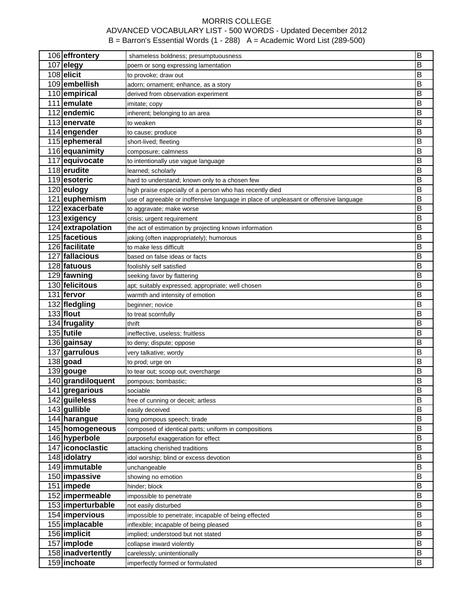| 106 effrontery                | shameless boldness; presumptuousness                                                  | $\overline{\mathsf{B}}$ |
|-------------------------------|---------------------------------------------------------------------------------------|-------------------------|
| 107 elegy                     | poem or song expressing lamentation                                                   | B                       |
| 108 elicit                    | to provoke; draw out                                                                  | B                       |
| 109 embellish                 | adorn; ornament; enhance, as a story                                                  | B                       |
| 110 empirical                 | derived from observation experiment                                                   | B                       |
| 111 emulate                   | imitate; copy                                                                         | B                       |
| 112 endemic                   | inherent; belonging to an area                                                        | B                       |
| 113 enervate                  | to weaken                                                                             | B                       |
| 114 engender                  | to cause; produce                                                                     | B                       |
| 115 ephemeral                 | short-lived; fleeting                                                                 | B                       |
| 116 equanimity                | composure; calmness                                                                   | B                       |
| 117 equivocate                | to intentionally use vague language                                                   | B                       |
| 118 erudite                   | learned; scholarly                                                                    | B                       |
| 119 esoteric                  | hard to understand; known only to a chosen few                                        | B                       |
| 120 eulogy                    | high praise especially of a person who has recently died                              | B                       |
| 121 euphemism                 | use of agreeable or inoffensive language in place of unpleasant or offensive language | B                       |
| 122 exacerbate                | to aggravate; make worse                                                              | B                       |
| 123 exigency                  | crisis; urgent requirement                                                            | B                       |
| 124 extrapolation             | the act of estimation by projecting known information                                 | B                       |
| 125 facetious                 | joking (often inappropriately); humorous                                              | B                       |
| 126 facilitate                | to make less difficult                                                                | B                       |
| 127 fallacious                | based on false ideas or facts                                                         | B                       |
| 128 fatuous                   | foolishly self satisfied                                                              | B                       |
| 129 fawning                   |                                                                                       | B                       |
| 130 felicitous                | seeking favor by flattering<br>apt; suitably expressed; appropriate; well chosen      | B                       |
| 131 fervor                    |                                                                                       | B                       |
| 132 fledgling                 | warmth and intensity of emotion                                                       | $\overline{\mathsf{B}}$ |
| $133$ flout                   | beginner; novice                                                                      | B                       |
|                               | to treat scornfully                                                                   | B                       |
| 134 frugality<br>$135$ futile | thrift                                                                                | B                       |
|                               | ineffective, useless; fruitless                                                       | B                       |
| 136 gainsay                   | to deny; dispute; oppose                                                              | B                       |
| 137 garrulous                 | very talkative; wordy                                                                 |                         |
| $138$ goad                    | to prod; urge on                                                                      | B                       |
| 139 gouge                     | to tear out; scoop out; overcharge                                                    | B                       |
| 140 grandiloquent             | pompous; bombastic;                                                                   | В                       |
| 141 gregarious                | sociable                                                                              | B                       |
| 142 guileless                 | free of cunning or deceit; artless                                                    | В                       |
| 143 gullible                  | easily deceived                                                                       | B                       |
| 144 harangue                  | long pompous speech; tirade                                                           | B                       |
| 145 homogeneous               | composed of identical parts; uniform in compositions                                  | B                       |
| 146 hyperbole                 | purposeful exaggeration for effect                                                    | B                       |
| 147 iconoclastic              | attacking cherished traditions                                                        | B                       |
| 148 idolatry                  | idol worship; blind or excess devotion                                                | B                       |
| 149 immutable                 | unchangeable                                                                          | B                       |
| 150 impassive                 | showing no emotion                                                                    | B                       |
| 151 limpede                   | hinder; block                                                                         | B                       |
| 152 impermeable               | impossible to penetrate                                                               | B                       |
| 153 imperturbable             | not easily disturbed                                                                  | B                       |
| 154 impervious                | impossible to penetrate; incapable of being effected                                  | B                       |
| 155 implacable                | inflexible; incapable of being pleased                                                | B                       |
| 156 implicit                  | implied; understood but not stated                                                    | Β                       |
| 157 implode                   | collapse inward violently                                                             | B                       |
| 158 inadvertently             | carelessly; unintentionally                                                           | Β                       |
| 159 inchoate                  | imperfectly formed or formulated                                                      | В                       |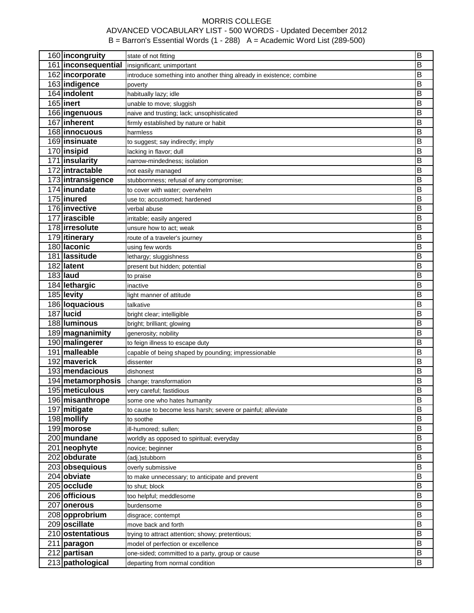| 160 incongruity     | state of not fitting                                                 | B                       |
|---------------------|----------------------------------------------------------------------|-------------------------|
| 161 inconsequential | insignificant; unimportant                                           | B                       |
| 162 incorporate     | introduce something into another thing already in existence; combine | B                       |
| 163 indigence       | poverty                                                              | B                       |
| 164 indolent        | habitually lazy; idle                                                | B                       |
| $165$ inert         | unable to move; sluggish                                             | B                       |
| 166 ingenuous       | naive and trusting; lack; unsophisticated                            | B                       |
| 167 inherent        | firmly established by nature or habit                                | B                       |
| 168 innocuous       | harmless                                                             | B                       |
| 169 insinuate       | to suggest; say indirectly; imply                                    | B                       |
| 170 insipid         | lacking in flavor; dull                                              | B                       |
| 171 insularity      | narrow-mindedness; isolation                                         | B                       |
| 172 intractable     | not easily managed                                                   | B                       |
| 173 intransigence   | stubbornness; refusal of any compromise;                             | B                       |
| 174 inundate        | to cover with water; overwhelm                                       | B                       |
| 175 inured          | use to; accustomed; hardened                                         | B                       |
| 176 invective       | verbal abuse                                                         | B                       |
| 177 irascible       | irritable; easily angered                                            | B                       |
| 178 irresolute      | unsure how to act; weak                                              | B                       |
| 179 itinerary       | route of a traveler's journey                                        | B                       |
| 180 laconic         | using few words                                                      | B                       |
| 181 lassitude       | lethargy; sluggishness                                               | B                       |
| 182 latent          | present but hidden; potential                                        | B                       |
| 183 laud            | to praise                                                            | B                       |
| 184 lethargic       | inactive                                                             | B                       |
| 185 levity          | light manner of attitude                                             | B                       |
| 186 loquacious      | talkative                                                            | B                       |
| 187 lucid           | bright clear; intelligible                                           | $\overline{\mathsf{B}}$ |
| 188 luminous        | bright; brilliant; glowing                                           | B                       |
| 189 magnanimity     | generosity; nobility                                                 | B                       |
| 190 malingerer      |                                                                      | B                       |
| 191 malleable       | to feign illness to escape duty                                      | B                       |
| 192 maverick        | capable of being shaped by pounding; impressionable<br>dissenter     | B                       |
| 193 mendacious      | dishonest                                                            | B                       |
| 194 metamorphosis   |                                                                      | B                       |
|                     | change; transformation                                               | B                       |
| 195 meticulous      | very careful; fastidious                                             |                         |
| 196 misanthrope     | some one who hates humanity                                          | B                       |
| 197 mitigate        | to cause to become less harsh; severe or painful; alleviate          | B<br>B                  |
| 198 mollify         | to soothe                                                            |                         |
| 199 morose          | ill-humored; sullen;                                                 | B                       |
| 200 mundane         | worldly as opposed to spiritual; everyday                            | B                       |
| 201   neophyte      | novice; beginner                                                     | B                       |
| 202 obdurate        | (adj.)stubborn                                                       | B                       |
| 203 obsequious      | overly submissive                                                    | B                       |
| 204 obviate         | to make unnecessary; to anticipate and prevent                       | B                       |
| 205 occlude         | to shut; block                                                       | B                       |
| 206 officious       | too helpful; meddlesome                                              | B                       |
| 207 onerous         | burdensome                                                           | B                       |
| 208 opprobrium      | disgrace; contempt                                                   | B                       |
| 209 oscillate       | move back and forth                                                  | B                       |
| 210 ostentatious    | trying to attract attention; showy; pretentious;                     | B                       |
| 211 paragon         | model of perfection or excellence                                    | Β                       |
| 212 partisan        | one-sided; committed to a party, group or cause                      | В                       |
| 213 pathological    | departing from normal condition                                      | В                       |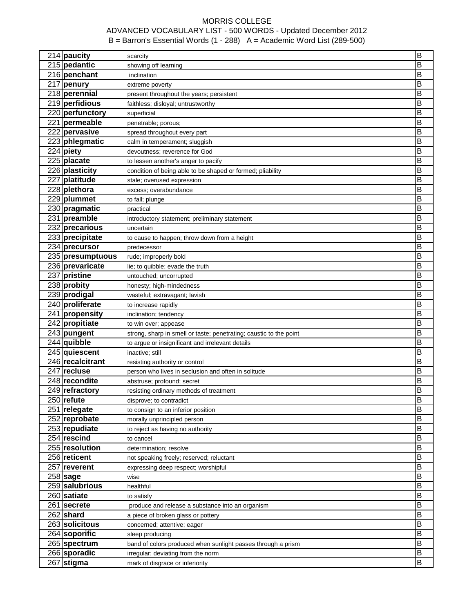| 214 paucity                       | scarcity                                                           | B                       |
|-----------------------------------|--------------------------------------------------------------------|-------------------------|
| 215 pedantic                      | showing off learning                                               | Β                       |
| 216 penchant                      | inclination                                                        | B                       |
| 217 penury                        | extreme poverty                                                    | B                       |
| 218 perennial                     | present throughout the years; persistent                           | B                       |
| 219 perfidious                    | faithless; disloyal; untrustworthy                                 | B                       |
| 220 perfunctory                   | superficial                                                        | Β                       |
| 221 permeable                     | penetrable; porous;                                                | B                       |
| 222 pervasive                     | spread throughout every part                                       | B                       |
| 223 phlegmatic                    | calm in temperament; sluggish                                      | B                       |
| $224$ piety                       | devoutness; reverence for God                                      | B                       |
| $225$ placate                     | to lessen another's anger to pacify                                | B                       |
| 226 plasticity                    | condition of being able to be shaped or formed; pliability         | B                       |
| 227 platitude                     | stale; overused expression                                         | B                       |
| 228 plethora                      | excess; overabundance                                              | B                       |
| 229 plummet                       | to fall; plunge                                                    | B                       |
| 230 pragmatic                     | practical                                                          | B                       |
| 231 preamble                      | introductory statement; preliminary statement                      | B                       |
| 232 precarious                    | uncertain                                                          | B                       |
| 233 precipitate                   | to cause to happen; throw down from a height                       | B                       |
| 234 precursor                     | predecessor                                                        | B                       |
| 235 presumptuous                  | rude; improperly bold                                              | B                       |
| 236 prevaricate                   | lie; to quibble; evade the truth                                   | B                       |
| 237 pristine                      | untouched; uncorrupted                                             | B                       |
| 238 probity                       | honesty; high-mindedness                                           | B                       |
| 239 prodigal                      | wasteful; extravagant; lavish                                      | B                       |
| 240 proliferate                   |                                                                    | B                       |
| 241 propensity                    | to increase rapidly                                                | $\overline{\mathsf{B}}$ |
| 242 propitiate                    | inclination; tendency                                              | B                       |
|                                   | to win over; appease                                               | B                       |
| 243 pungent<br>244 quibble        | strong, sharp in smell or taste; penetrating; caustic to the point | B                       |
|                                   | to argue or insignificant and irrelevant details                   | Β                       |
| 245 quiescent<br>246 recalcitrant | inactive; still                                                    |                         |
| 247 recluse                       | resisting authority or control                                     | В                       |
|                                   | person who lives in seclusion and often in solitude                | B                       |
| 248 recondite                     | abstruse; profound; secret                                         | B                       |
| 249 refractory                    | resisting ordinary methods of treatment                            | B                       |
| $250$ refute                      | disprove; to contradict                                            | B                       |
| 251 relegate                      | to consign to an inferior position                                 | B                       |
| 252 reprobate                     | morally unprincipled person                                        | B                       |
| 253 repudiate                     | to reject as having no authority                                   | B                       |
| 254 rescind                       | to cancel                                                          | B                       |
| 255 resolution                    | determination; resolve                                             | B                       |
| 256 reticent                      | not speaking freely; reserved; reluctant                           | B                       |
| 257 reverent                      | expressing deep respect; worshipful                                | B                       |
| $258$ sage                        | wise                                                               | B                       |
| 259 salubrious                    | healthful                                                          | B                       |
| 260 satiate                       | to satisfy                                                         | B                       |
| $261$ secrete                     | produce and release a substance into an organism                   | B                       |
| $262$ shard                       | a piece of broken glass or pottery                                 | B                       |
| 263 solicitous                    | concerned; attentive; eager                                        | B                       |
| 264 soporific                     | sleep producing                                                    | B                       |
| 265 spectrum                      | band of colors produced when sunlight passes through a prism       | В                       |
| 266 sporadic                      | irregular; deviating from the norm                                 | B                       |
| 267 stigma                        | mark of disgrace or inferiority                                    | В                       |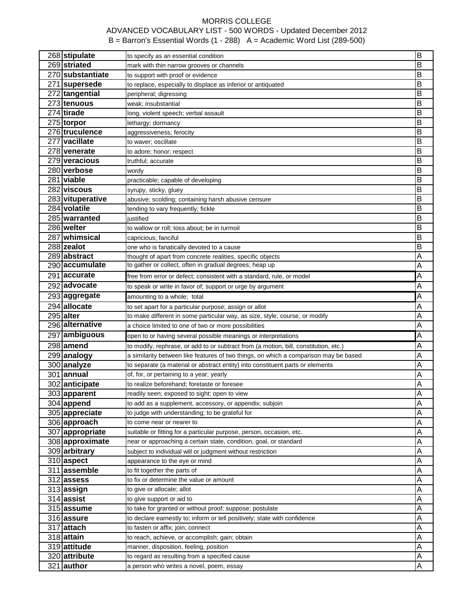| 268 stipulate           | to specify as an essential condition                                                 | B |
|-------------------------|--------------------------------------------------------------------------------------|---|
| 269 striated            | mark with thin narrow grooves or channels                                            | Β |
| 270 <b>substantiate</b> | to support with proof or evidence                                                    | Β |
| 271 supersede           | to replace, especially to displace as inferior or antiquated                         | Β |
| 272 tangential          | peripheral; digressing                                                               | B |
| 273 tenuous             | weak; insubstantial                                                                  | Β |
| 274 tirade              | long, violent speech; verbal assault                                                 | В |
| 275 torpor              | lethargy; dormancy                                                                   | B |
| 276 truculence          | aggressiveness; ferocity                                                             | B |
| 277 vacillate           | to waver; oscillate                                                                  | B |
| 278 venerate            | to adore; honor; respect                                                             | B |
| 279 veracious           | truthful; accurate                                                                   | B |
| 280 verbose             | wordy                                                                                | B |
| 281 viable              | practicable; capable of developing                                                   | B |
| 282 viscous             | syrupy, sticky, gluey                                                                | B |
| 283 vituperative        | abusive; scolding; containing harsh abusive censure                                  | B |
| 284 volatile            | tending to vary frequently; fickle                                                   | B |
| 285 warranted           | iustified                                                                            | B |
| 286 welter              | to wallow or roll; toss about; be in turmoil                                         | B |
| 287 whimsical           | capricious; fanciful                                                                 | B |
| 288 zealot              | one who is fanatically devoted to a cause                                            | B |
| 289 abstract            | thought of apart from concrete realities, specific objects                           | Α |
| 290 accumulate          | to gather or collect, often in gradual degrees; heap up                              | A |
| 291 accurate            | free from error or defect; consistent with a standard, rule, or model                | A |
| 292 advocate            | to speak or write in favor of; support or urge by argument                           | Α |
| 293 aggregate           | amounting to a whole; total                                                          | A |
| 294 allocate            | to set apart for a particular purpose; assign or allot                               | Α |
| $295$ alter             | to make different in some particular way, as size, style, course, or modify          | Α |
| 296 alternative         | a choice limited to one of two or more possibilities                                 | Α |
| 297 ambiguous           | open to or having several possible meanings or interpretations                       | A |
| 298 amend               | to modify, rephrase, or add to or subtract from (a motion, bill, constitution, etc.) | Α |
| 299 analogy             | a similarity between like features of two things, on which a comparison may be based | A |
| 300 analyze             | to separate (a material or abstract entity) into constituent parts or elements       | Α |
| 301 annual              | of, for, or pertaining to a year; yearly                                             | Α |
| 302 anticipate          | to realize beforehand; foretaste or foresee                                          | Α |
| 303 apparent            | readily seen; exposed to sight; open to view                                         | Α |
| 304 append              | to add as a supplement, accessory, or appendix; subjoin                              | A |
| 305 appreciate          | to judge with understanding; to be grateful for                                      | Α |
| 306 approach            | to come near or nearer to                                                            | A |
| 307 appropriate         | suitable or fitting for a particular purpose, person, occasion, etc.                 | Α |
| 308 approximate         | near or approaching a certain state, condition, goal, or standard                    | Α |
| 309 arbitrary           | subject to individual will or judgment without restriction                           | Α |
| 310 aspect              | appearance to the eye or mind                                                        | Α |
| 311 assemble            | to fit together the parts of                                                         | Α |
| 312 assess              | to fix or determine the value or amount                                              | Α |
| 313 assign              | to give or allocate; allot                                                           | Α |
| $314$ assist            | to give support or aid to                                                            | Α |
| 315 assume              | to take for granted or without proof; suppose; postulate                             | Α |
| 316 assure              | to declare earnestly to; inform or tell positively; state with confidence            | Α |
| 317 attach              | to fasten or affix; join; connect                                                    | Α |
| 318 attain              | to reach, achieve, or accomplish; gain; obtain                                       | Α |
| 319 attitude            | manner, disposition, feeling, position                                               | Α |
| 320 attribute           | to regard as resulting from a specified cause                                        | Α |
| 321 author              | a person who writes a novel, poem, essay                                             | A |
|                         |                                                                                      |   |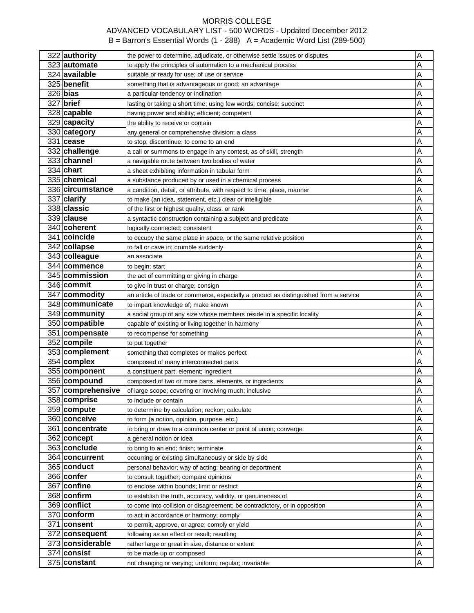| 322 authority     | the power to determine, adjudicate, or otherwise settle issues or disputes            | Α |
|-------------------|---------------------------------------------------------------------------------------|---|
| 323 automate      | to apply the principles of automation to a mechanical process                         | Α |
| 324 available     | suitable or ready for use; of use or service                                          | Α |
| 325 benefit       | something that is advantageous or good; an advantage                                  | A |
| $326$ bias        | a particular tendency or inclination                                                  | Α |
| 327 brief         | lasting or taking a short time; using few words; concise; succinct                    | Α |
| 328 capable       | having power and ability; efficient; competent                                        | A |
| 329 capacity      | the ability to receive or contain                                                     | A |
| 330 category      | any general or comprehensive division; a class                                        | Α |
| $331$ cease       | to stop; discontinue; to come to an end                                               | Α |
| 332 challenge     | a call or summons to engage in any contest, as of skill, strength                     | Α |
| 333 channel       | a navigable route between two bodies of water                                         | Α |
| 334 chart         | a sheet exhibiting information in tabular form                                        | Α |
| 335 chemical      | a substance produced by or used in a chemical process                                 | Α |
| 336 circumstance  | a condition, detail, or attribute, with respect to time, place, manner                | A |
| 337 clarify       | to make (an idea, statement, etc.) clear or intelligible                              | Α |
| 338 classic       | of the first or highest quality, class, or rank                                       | Α |
| 339 clause        | a syntactic construction containing a subject and predicate                           | Α |
| 340 coherent      | logically connected; consistent                                                       | A |
| 341 coincide      |                                                                                       | A |
| 342 collapse      | to occupy the same place in space, or the same relative position                      | Α |
| 343 colleague     | to fall or cave in; crumble suddenly<br>an associate                                  | A |
| 344 commence      |                                                                                       |   |
| 345 commission    | to begin; start                                                                       | Α |
|                   | the act of committing or giving in charge                                             | A |
| 346 commit        | to give in trust or charge; consign                                                   | A |
| 347 commodity     | an article of trade or commerce, especially a product as distinguished from a service | Α |
| 348 communicate   | to impart knowledge of; make known                                                    | Α |
| 349 community     | a social group of any size whose members reside in a specific locality                | A |
| 350 compatible    | capable of existing or living together in harmony                                     | Α |
|                   |                                                                                       |   |
| 351 compensate    | to recompense for something                                                           | Α |
| 352 compile       | to put together                                                                       | Α |
| 353 complement    | something that completes or makes perfect                                             | Α |
| 354 complex       | composed of many interconnected parts                                                 | Α |
| 355 component     | a constituent part; element; ingredient                                               | Α |
| 356 compound      | composed of two or more parts, elements, or ingredients                               | Α |
| 357 comprehensive | of large scope; covering or involving much; inclusive                                 | A |
| 358 comprise      | to include or contain                                                                 | A |
| 359 compute       | to determine by calculation; reckon; calculate                                        | Α |
| 360 conceive      | to form (a notion, opinion, purpose, etc.)                                            | Α |
| 361 concentrate   | to bring or draw to a common center or point of union; converge                       | A |
| 362 concept       | a general notion or idea                                                              | A |
| 363 conclude      | to bring to an end; finish; terminate                                                 | A |
| 364 concurrent    | occurring or existing simultaneously or side by side                                  | Α |
| 365 conduct       | personal behavior; way of acting; bearing or deportment                               | A |
| 366 confer        | to consult together; compare opinions                                                 | A |
| 367 confine       | to enclose within bounds; limit or restrict                                           | A |
| 368 confirm       | to establish the truth, accuracy, validity, or genuineness of                         | A |
| 369 conflict      | to come into collision or disagreement; be contradictory, or in opposition            | A |
| 370 conform       | to act in accordance or harmony; comply                                               | A |
| 371 consent       | to permit, approve, or agree; comply or yield                                         | Α |
| 372 consequent    | following as an effect or result; resulting                                           | A |
| 373 considerable  | rather large or great in size, distance or extent                                     | Α |
| 374 consist       | to be made up or composed                                                             | A |
| 375 constant      | not changing or varying; uniform; regular; invariable                                 | A |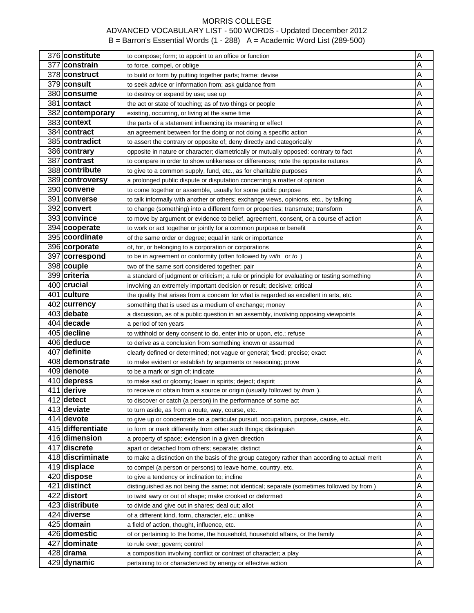| 376 constitute    | to compose; form; to appoint to an office or function                                          | A |
|-------------------|------------------------------------------------------------------------------------------------|---|
| 377 constrain     | to force, compel, or oblige                                                                    | Α |
| 378 construct     | to build or form by putting together parts; frame; devise                                      | Α |
| 379 consult       | to seek advice or information from; ask guidance from                                          | Α |
| 380 consume       | to destroy or expend by use; use up                                                            | Α |
| 381 contact       | the act or state of touching; as of two things or people                                       | Α |
| 382 contemporary  | existing, occurring, or living at the same time                                                | Α |
| 383 context       | the parts of a statement influencing its meaning or effect                                     | Α |
| 384 contract      | an agreement between for the doing or not doing a specific action                              | Α |
| 385 contradict    | to assert the contrary or opposite of; deny directly and categorically                         | A |
| 386 contrary      | opposite in nature or character; diametrically or mutually opposed: contrary to fact           | Α |
| 387 contrast      | to compare in order to show unlikeness or differences; note the opposite natures               | Α |
| 388 contribute    | to give to a common supply, fund, etc., as for charitable purposes                             | Α |
| 389 controversy   | a prolonged public dispute or disputation concerning a matter of opinion                       | Α |
| 390 convene       | to come together or assemble, usually for some public purpose                                  | Α |
| 391 converse      | to talk informally with another or others; exchange views, opinions, etc., by talking          | Α |
| 392 convert       | to change (something) into a different form or properties; transmute; transform                | A |
| 393 convince      | to move by argument or evidence to belief, agreement, consent, or a course of action           | Α |
| 394 cooperate     | to work or act together or jointly for a common purpose or benefit                             | Α |
| 395 coordinate    | of the same order or degree; equal in rank or importance                                       | Α |
| 396 corporate     | of, for, or belonging to a corporation or corporations                                         | Α |
| 397 correspond    | to be in agreement or conformity (often followed by with or to)                                | Α |
| 398 couple        | two of the same sort considered together; pair                                                 | Α |
| 399 criteria      | a standard of judgment or criticism; a rule or principle for evaluating or testing something   | A |
| 400 crucial       | involving an extremely important decision or result; decisive; critical                        | Α |
| 401 culture       | the quality that arises from a concern for what is regarded as excellent in arts, etc.         | Α |
| 402 currency      | something that is used as a medium of exchange; money                                          | A |
| 403 debate        | a discussion, as of a public question in an assembly, involving opposing viewpoints            | Α |
| $404$ decade      | a period of ten years                                                                          | Α |
| 405 decline       | to withhold or deny consent to do, enter into or upon, etc.; refuse                            | Α |
| 406 deduce        | to derive as a conclusion from something known or assumed                                      | А |
| 407 definite      | clearly defined or determined; not vague or general; fixed; precise; exact                     | Α |
| 408 demonstrate   | to make evident or establish by arguments or reasoning; prove                                  | Α |
| 409 denote        | to be a mark or sign of; indicate                                                              | A |
| 410 depress       | to make sad or gloomy; lower in spirits; deject; dispirit                                      | A |
| 411 derive        | to receive or obtain from a source or origin (usually followed by from ).                      | A |
| 412 detect        | to discover or catch (a person) in the performance of some act                                 | Α |
| 413 deviate       | to turn aside, as from a route, way, course, etc.                                              | Α |
| $414$ devote      | to give up or concentrate on a particular pursuit, occupation, purpose, cause, etc.            | Α |
| 415 differentiate | to form or mark differently from other such things; distinguish                                | Α |
| 416 dimension     | a property of space; extension in a given direction                                            | Α |
| 417 discrete      | apart or detached from others; separate; distinct                                              | Α |
| 418 discriminate  | to make a distinction on the basis of the group category rather than according to actual merit | Α |
| 419 displace      | to compel (a person or persons) to leave home, country, etc.                                   | A |
| 420 dispose       | to give a tendency or inclination to; incline                                                  | Α |
| 421 distinct      | distinguished as not being the same; not identical; separate (sometimes followed by from)      | Α |
| 422 distort       | to twist awry or out of shape; make crooked or deformed                                        | Α |
| 423 distribute    | to divide and give out in shares; deal out; allot                                              | А |
| 424 diverse       | of a different kind, form, character, etc.; unlike                                             | А |
| 425 domain        | a field of action, thought, influence, etc.                                                    | Α |
| 426 domestic      | of or pertaining to the home, the household, household affairs, or the family                  | Α |
| 427 dominate      | to rule over; govern; control                                                                  | А |
| $428$ drama       | a composition involving conflict or contrast of character; a play                              | А |
| 429 dynamic       | pertaining to or characterized by energy or effective action                                   | Α |
|                   |                                                                                                |   |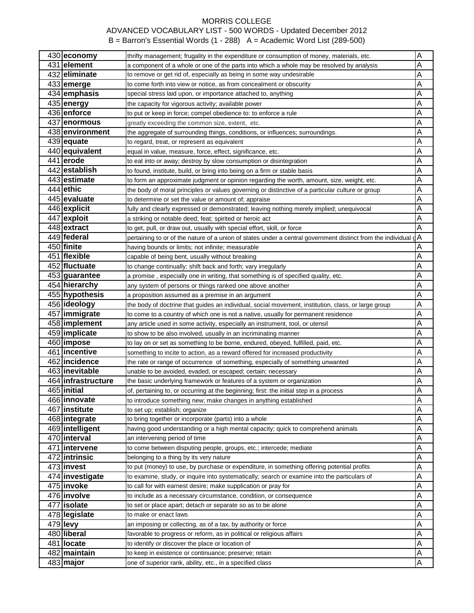| 430 economy                     | thrifty management; frugality in the expenditure or consumption of money, materials, etc.                   | Α                            |
|---------------------------------|-------------------------------------------------------------------------------------------------------------|------------------------------|
| 431 element                     | a component of a whole or one of the parts into which a whole may be resolved by analysis                   | Α                            |
| 432 eliminate                   | to remove or get rid of, especially as being in some way undesirable                                        | Α                            |
| 433 emerge                      | to come forth into view or notice, as from concealment or obscurity                                         | Α                            |
| 434 emphasis                    | special stress laid upon, or importance attached to, anything                                               | Α                            |
| 435 energy                      | the capacity for vigorous activity; available power                                                         | Α                            |
| 436 enforce                     | to put or keep in force; compel obedience to: to enforce a rule                                             | Α                            |
| 437 enormous                    | greatly exceeding the common size, extent, etc.                                                             | Α                            |
| 438 environment                 | the aggregate of surrounding things, conditions, or influences; surroundings.                               | Α                            |
| 439 equate                      | to regard, treat, or represent as equivalent                                                                | Α                            |
| 440 equivalent                  | equal in value, measure, force, effect, significance, etc.                                                  | A                            |
| 441 erode                       | to eat into or away; destroy by slow consumption or disintegration                                          | Α                            |
| 442 establish                   | to found, institute, build, or bring into being on a firm or stable basis                                   | Α                            |
| 443 estimate                    | to form an approximate judgment or opinion regarding the worth, amount, size, weight, etc.                  | Α                            |
| $444$ ethic                     | the body of moral principles or values governing or distinctive of a particular culture or group            | Α                            |
| 445 evaluate                    | to determine or set the value or amount of; appraise                                                        | Α                            |
| 446 explicit                    | fully and clearly expressed or demonstrated; leaving nothing merely implied; unequivocal                    | A                            |
| 447 exploit                     | a striking or notable deed; feat; spirited or heroic act                                                    | Α                            |
| 448 extract                     | to get, pull, or draw out, usually with special effort, skill, or force                                     | A                            |
| 449 federal                     | pertaining to or of the nature of a union of states under a central government distinct from the individual | dΑ                           |
| 450 finite                      | having bounds or limits; not infinite; measurable                                                           | Α                            |
| 451 flexible                    | capable of being bent, usually without breaking                                                             | Α                            |
| 452 fluctuate                   | to change continually; shift back and forth; vary irregularly                                               | Α                            |
| 453 guarantee                   | a promise, especially one in writing, that something is of specified quality, etc.                          | Α                            |
| 454 hierarchy                   | any system of persons or things ranked one above another                                                    | Α                            |
| 455 hypothesis                  | a proposition assumed as a premise in an argument                                                           | Α                            |
| 456 ideology                    | the body of doctrine that guides an individual, social movement, institution, class, or large group         | Α                            |
| 457   immigrate                 | to come to a country of which one is not a native, usually for permanent residence                          | Α                            |
| 458 implement                   | any article used in some activity, especially an instrument, tool, or utensil                               | Α                            |
| 459 implicate                   | to show to be also involved, usually in an incriminating manner                                             | Α                            |
| 460 impose                      | to lay on or set as something to be borne, endured, obeyed, fulfilled, paid, etc.                           | Α                            |
| 461 incentive                   | something to incite to action, as a reward offered for increased productivity                               | Α                            |
| 462 incidence                   | the rate or range of occurrence of something, especially of something unwanted                              | Α                            |
| 463 inevitable                  | unable to be avoided, evaded, or escaped; certain; necessary                                                | A                            |
| 464 infrastructure              | the basic underlying framework or features of a system or organization                                      | Α                            |
| 465 initial                     |                                                                                                             | Α                            |
| 466 innovate                    | of, pertaining to, or occurring at the beginning; first: the initial step in a process                      |                              |
| 467 institute                   | to introduce something new; make changes in anything established                                            | Α<br>$\overline{\mathsf{A}}$ |
|                                 | to set up; establish; organize<br>to bring together or incorporate (parts) into a whole                     | Α                            |
| 468 integrate                   | having good understanding or a high mental capacity; quick to comprehend animals                            | Α                            |
| 469 intelligent<br>470 interval | an intervening period of time                                                                               | Α                            |
|                                 |                                                                                                             |                              |
| 471 intervene                   | to come between disputing people, groups, etc.; intercede; mediate                                          | Α                            |
| 472 intrinsic                   | belonging to a thing by its very nature                                                                     | Α                            |
| 473 invest                      | to put (money) to use, by purchase or expenditure, in something offering potential profits                  | Α                            |
| 474 investigate                 | to examine, study, or inquire into systematically; search or examine into the particulars of                | Α                            |
| 475 invoke                      | to call for with earnest desire; make supplication or pray for                                              | A                            |
| 476 involve                     | to include as a necessary circumstance, condition, or consequence                                           | Α                            |
| 477 isolate                     | to set or place apart; detach or separate so as to be alone                                                 | Α                            |
| 478 legislate                   | to make or enact laws                                                                                       | Α                            |
| $479$ levy                      | an imposing or collecting, as of a tax, by authority or force                                               | Α                            |
| 480 liberal                     | favorable to progress or reform, as in political or religious affairs                                       | Α                            |
| 481 locate                      | to identify or discover the place or location of                                                            | Α                            |
| 482 maintain                    | to keep in existence or continuance; preserve; retain                                                       | Α                            |
| $483$ major                     | one of superior rank, ability, etc., in a specified class                                                   | A                            |